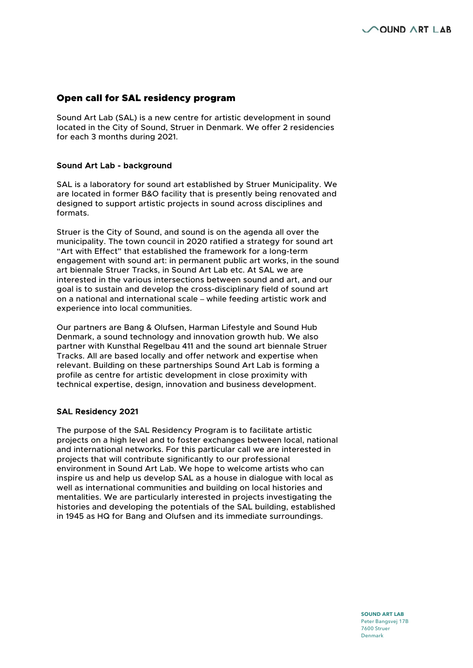# Open call for SAL residency program

Sound Art Lab (SAL) is a new centre for artistic development in sound located in the City of Sound, Struer in Denmark. We offer 2 residencies for each 3 months during 2021.

#### Sound Art Lab - background

SAL is a laboratory for sound art established by Struer Municipality. We are located in former B&O facility that is presently being renovated and designed to support artistic projects in sound across disciplines and formats.

Struer is the City of Sound, and sound is on the agenda all over the municipality. The town council in 2020 ratified a strategy for sound art "Art with Effect" that established the framework for a long-term engagement with sound art: in permanent public art works, in the sound art biennale Struer Tracks, in Sound Art Lab etc. At SAL we are interested in the various intersections between sound and art, and our goal is to sustain and develop the cross-disciplinary field of sound art on a national and international scale – while feeding artistic work and experience into local communities.

Our partners are Bang & Olufsen, Harman Lifestyle and Sound Hub Denmark, a sound technology and innovation growth hub. We also partner with Kunsthal Regelbau 411 and the sound art biennale Struer Tracks. All are based locally and offer network and expertise when relevant. Building on these partnerships Sound Art Lab is forming a profile as centre for artistic development in close proximity with technical expertise, design, innovation and business development.

## SAL Residency 2021

The purpose of the SAL Residency Program is to facilitate artistic projects on a high level and to foster exchanges between local, national and international networks. For this particular call we are interested in projects that will contribute significantly to our professional environment in Sound Art Lab. We hope to welcome artists who can inspire us and help us develop SAL as a house in dialogue with local as well as international communities and building on local histories and mentalities. We are particularly interested in projects investigating the histories and developing the potentials of the SAL building, established in 1945 as HQ for Bang and Olufsen and its immediate surroundings.

> **SOUND ART LAB** Peter Bangsvej 17B 7600 Struer Denmark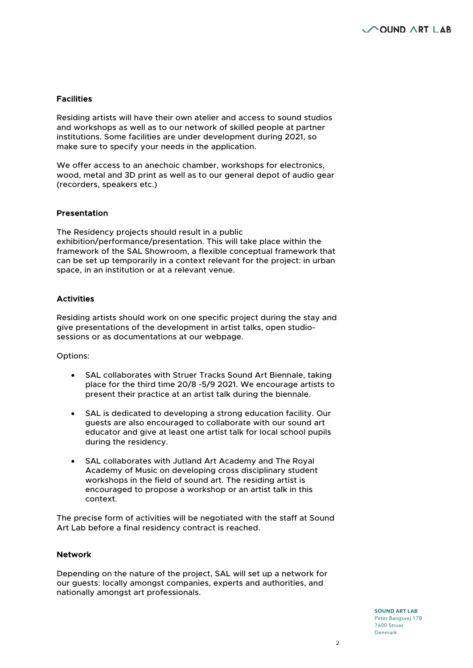### **Facilities**

Residing artists will have their own atelier and access to sound studios and workshops as well as to our network of skilled people at partner institutions. Some facilities are under development during 2021, so make sure to specify your needs in the application.

We offer access to an anechoic chamber, workshops for electronics, wood, metal and 3D print as well as to our general depot of audio gear (recorders, speakers etc.)

### Presentation

The Residency projects should result in a public exhibition/performance/presentation. This will take place within the framework of the SAL Showroom, a flexible conceptual framework that can be set up temporarily in a context relevant for the project: in urban space, in an institution or at a relevant venue.

## Activities

Residing artists should work on one specific project during the stay and give presentations of the development in artist talks, open studiosessions or as documentations at our webpage.

Options:

- SAL collaborates with Struer Tracks Sound Art Biennale, taking place for the third time 20/8 -5/9 2021. We encourage artists to present their practice at an artist talk during the biennale.
- SAL is dedicated to developing a strong education facility. Our guests are also encouraged to collaborate with our sound art educator and give at least one artist talk for local school pupils during the residency.
- SAL collaborates with Jutland Art Academy and The Royal Academy of Music on developing cross disciplinary student workshops in the field of sound art. The residing artist is encouraged to propose a workshop or an artist talk in this context.

The precise form of activities will be negotiated with the staff at Sound Art Lab before a final residency contract is reached.

#### Network

Depending on the nature of the project, SAL will set up a network for our guests: locally amongst companies, experts and authorities, and nationally amongst art professionals.

> **SOUND ART LAB** Peter Bangsvej 17B 7600 Struer Denmark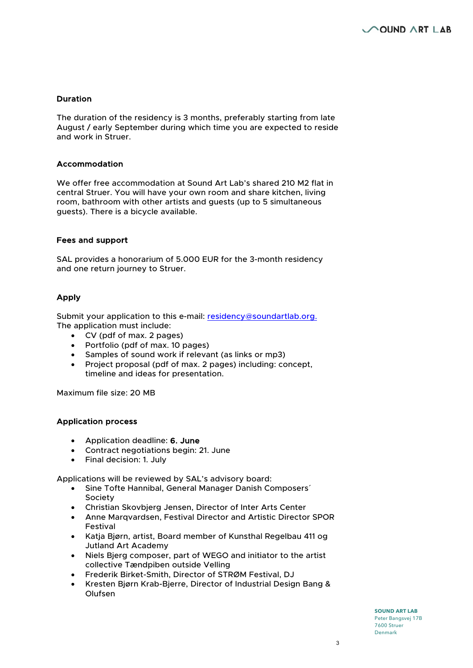### Duration

The duration of the residency is 3 months, preferably starting from late August / early September during which time you are expected to reside and work in Struer.

#### Accommodation

We offer free accommodation at Sound Art Lab's shared 210 M2 flat in central Struer. You will have your own room and share kitchen, living room, bathroom with other artists and guests (up to 5 simultaneous guests). There is a bicycle available.

#### Fees and support

SAL provides a honorarium of 5.000 EUR for the 3-month residency and one return journey to Struer.

## Apply

Submit your application to this e-mail: residency@soundartlab.org. The application must include:

- CV (pdf of max. 2 pages)
- Portfolio (pdf of max. 10 pages)
- Samples of sound work if relevant (as links or mp3)
- Project proposal (pdf of max. 2 pages) including: concept, timeline and ideas for presentation.

Maximum file size: 20 MB

## Application process

- Application deadline: 6. June
- Contract negotiations begin: 21. June
- Final decision: 1. July

Applications will be reviewed by SAL's advisory board:

- Sine Tofte Hannibal, General Manager Danish Composers´ Society
- Christian Skovbjerg Jensen, Director of Inter Arts Center
- Anne Marqvardsen, Festival Director and Artistic Director SPOR Festival
- Katja Bjørn, artist, Board member of Kunsthal Regelbau 411 og Jutland Art Academy
- Niels Bjerg composer, part of WEGO and initiator to the artist collective Tændpiben outside Velling
- Frederik Birket-Smith, Director of STRØM Festival, DJ
- Kresten Bjørn Krab-Bjerre, Director of Industrial Design Bang & Olufsen

**SOUND ART LAB** Peter Bangsvej 17B 7600 Struer Denmark